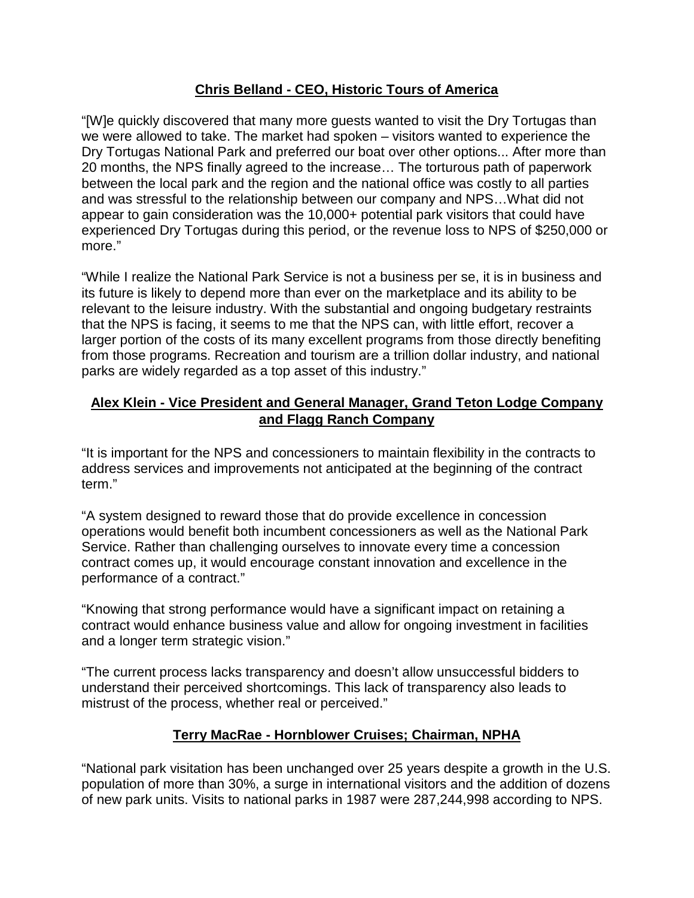### **Chris Belland - CEO, Historic Tours of America**

"[W]e quickly discovered that many more guests wanted to visit the Dry Tortugas than we were allowed to take. The market had spoken – visitors wanted to experience the Dry Tortugas National Park and preferred our boat over other options... After more than 20 months, the NPS finally agreed to the increase… The torturous path of paperwork between the local park and the region and the national office was costly to all parties and was stressful to the relationship between our company and NPS…What did not appear to gain consideration was the 10,000+ potential park visitors that could have experienced Dry Tortugas during this period, or the revenue loss to NPS of \$250,000 or more."

"While I realize the National Park Service is not a business per se, it is in business and its future is likely to depend more than ever on the marketplace and its ability to be relevant to the leisure industry. With the substantial and ongoing budgetary restraints that the NPS is facing, it seems to me that the NPS can, with little effort, recover a larger portion of the costs of its many excellent programs from those directly benefiting from those programs. Recreation and tourism are a trillion dollar industry, and national parks are widely regarded as a top asset of this industry."

### **Alex Klein - Vice President and General Manager, Grand Teton Lodge Company and Flagg Ranch Company**

"It is important for the NPS and concessioners to maintain flexibility in the contracts to address services and improvements not anticipated at the beginning of the contract term."

"A system designed to reward those that do provide excellence in concession operations would benefit both incumbent concessioners as well as the National Park Service. Rather than challenging ourselves to innovate every time a concession contract comes up, it would encourage constant innovation and excellence in the performance of a contract."

"Knowing that strong performance would have a significant impact on retaining a contract would enhance business value and allow for ongoing investment in facilities and a longer term strategic vision."

"The current process lacks transparency and doesn't allow unsuccessful bidders to understand their perceived shortcomings. This lack of transparency also leads to mistrust of the process, whether real or perceived."

### **Terry MacRae - Hornblower Cruises; Chairman, NPHA**

"National park visitation has been unchanged over 25 years despite a growth in the U.S. population of more than 30%, a surge in international visitors and the addition of dozens of new park units. Visits to national parks in 1987 were 287,244,998 according to NPS.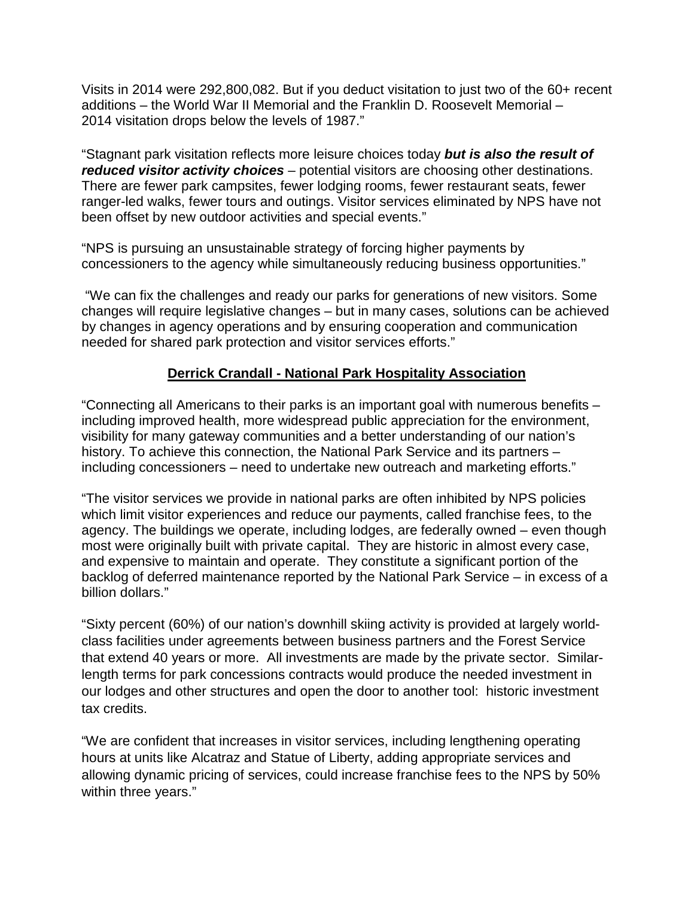Visits in 2014 were 292,800,082. But if you deduct visitation to just two of the 60+ recent additions – the World War II Memorial and the Franklin D. Roosevelt Memorial – 2014 visitation drops below the levels of 1987."

"Stagnant park visitation reflects more leisure choices today *but is also the result of reduced visitor activity choices* – potential visitors are choosing other destinations. There are fewer park campsites, fewer lodging rooms, fewer restaurant seats, fewer ranger-led walks, fewer tours and outings. Visitor services eliminated by NPS have not been offset by new outdoor activities and special events."

"NPS is pursuing an unsustainable strategy of forcing higher payments by concessioners to the agency while simultaneously reducing business opportunities."

"We can fix the challenges and ready our parks for generations of new visitors. Some changes will require legislative changes – but in many cases, solutions can be achieved by changes in agency operations and by ensuring cooperation and communication needed for shared park protection and visitor services efforts."

#### **Derrick Crandall - National Park Hospitality Association**

"Connecting all Americans to their parks is an important goal with numerous benefits – including improved health, more widespread public appreciation for the environment, visibility for many gateway communities and a better understanding of our nation's history. To achieve this connection, the National Park Service and its partners – including concessioners – need to undertake new outreach and marketing efforts."

"The visitor services we provide in national parks are often inhibited by NPS policies which limit visitor experiences and reduce our payments, called franchise fees, to the agency. The buildings we operate, including lodges, are federally owned – even though most were originally built with private capital. They are historic in almost every case, and expensive to maintain and operate. They constitute a significant portion of the backlog of deferred maintenance reported by the National Park Service – in excess of a billion dollars."

"Sixty percent (60%) of our nation's downhill skiing activity is provided at largely worldclass facilities under agreements between business partners and the Forest Service that extend 40 years or more. All investments are made by the private sector. Similarlength terms for park concessions contracts would produce the needed investment in our lodges and other structures and open the door to another tool: historic investment tax credits.

"We are confident that increases in visitor services, including lengthening operating hours at units like Alcatraz and Statue of Liberty, adding appropriate services and allowing dynamic pricing of services, could increase franchise fees to the NPS by 50% within three years."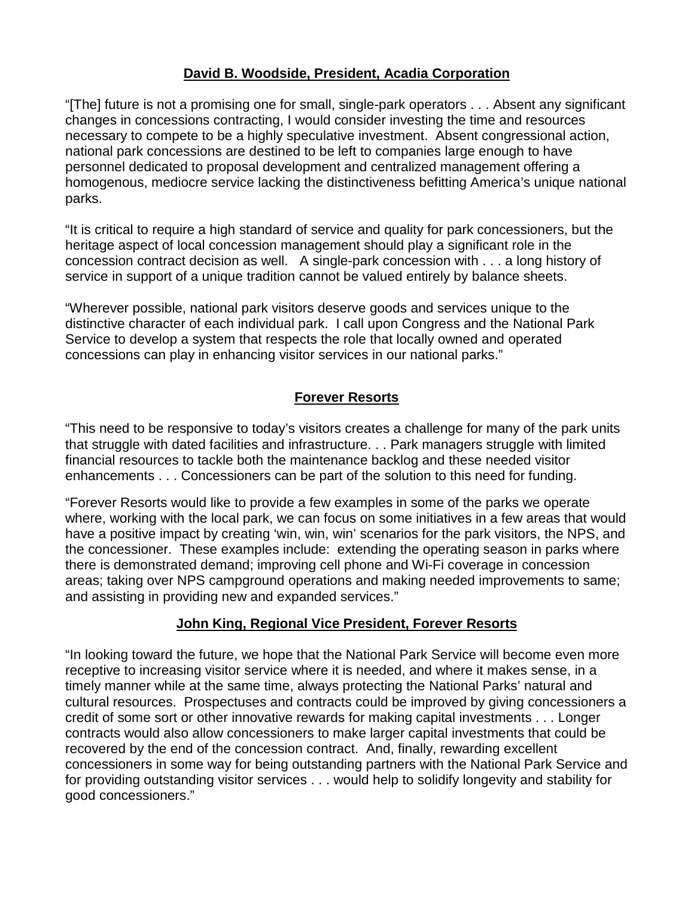### **David B. Woodside, President, Acadia Corporation**

"[The] future is not a promising one for small, single-park operators . . . Absent any significant changes in concessions contracting, I would consider investing the time and resources necessary to compete to be a highly speculative investment. Absent congressional action, national park concessions are destined to be left to companies large enough to have personnel dedicated to proposal development and centralized management offering a homogenous, mediocre service lacking the distinctiveness befitting America's unique national parks.

"It is critical to require a high standard of service and quality for park concessioners, but the heritage aspect of local concession management should play a significant role in the concession contract decision as well. A single-park concession with . . . a long history of service in support of a unique tradition cannot be valued entirely by balance sheets.

"Wherever possible, national park visitors deserve goods and services unique to the distinctive character of each individual park. I call upon Congress and the National Park Service to develop a system that respects the role that locally owned and operated concessions can play in enhancing visitor services in our national parks."

# **Forever Resorts**

"This need to be responsive to today's visitors creates a challenge for many of the park units that struggle with dated facilities and infrastructure. . . Park managers struggle with limited financial resources to tackle both the maintenance backlog and these needed visitor enhancements . . . Concessioners can be part of the solution to this need for funding.

"Forever Resorts would like to provide a few examples in some of the parks we operate where, working with the local park, we can focus on some initiatives in a few areas that would have a positive impact by creating 'win, win, win' scenarios for the park visitors, the NPS, and the concessioner. These examples include: extending the operating season in parks where there is demonstrated demand; improving cell phone and Wi-Fi coverage in concession areas; taking over NPS campground operations and making needed improvements to same; and assisting in providing new and expanded services."

### **John King, Regional Vice President, Forever Resorts**

"In looking toward the future, we hope that the National Park Service will become even more receptive to increasing visitor service where it is needed, and where it makes sense, in a timely manner while at the same time, always protecting the National Parks' natural and cultural resources. Prospectuses and contracts could be improved by giving concessioners a credit of some sort or other innovative rewards for making capital investments . . . Longer contracts would also allow concessioners to make larger capital investments that could be recovered by the end of the concession contract. And, finally, rewarding excellent concessioners in some way for being outstanding partners with the National Park Service and for providing outstanding visitor services . . . would help to solidify longevity and stability for good concessioners."